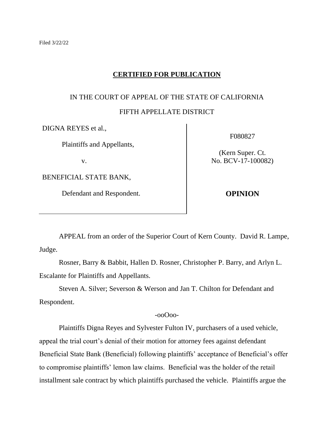## **CERTIFIED FOR PUBLICATION**

# IN THE COURT OF APPEAL OF THE STATE OF CALIFORNIA

## FIFTH APPELLATE DISTRICT

DIGNA REYES et al.,

Plaintiffs and Appellants,

v.

BENEFICIAL STATE BANK,

Defendant and Respondent.

F080827

(Kern Super. Ct. No. BCV-17-100082)

**OPINION**

APPEAL from an order of the Superior Court of Kern County. David R. Lampe, Judge.

Rosner, Barry & Babbit, Hallen D. Rosner, Christopher P. Barry, and Arlyn L. Escalante for Plaintiffs and Appellants.

Steven A. Silver; Severson & Werson and Jan T. Chilton for Defendant and Respondent.

-ooOoo-

Plaintiffs Digna Reyes and Sylvester Fulton IV, purchasers of a used vehicle, appeal the trial court's denial of their motion for attorney fees against defendant Beneficial State Bank (Beneficial) following plaintiffs' acceptance of Beneficial's offer to compromise plaintiffs' lemon law claims. Beneficial was the holder of the retail installment sale contract by which plaintiffs purchased the vehicle. Plaintiffs argue the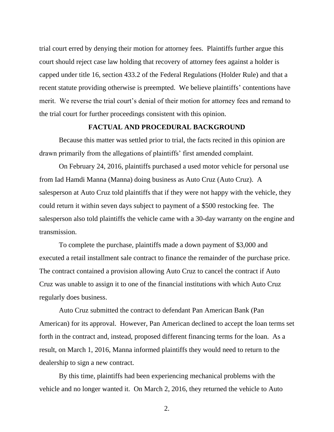trial court erred by denying their motion for attorney fees. Plaintiffs further argue this court should reject case law holding that recovery of attorney fees against a holder is capped under title 16, section 433.2 of the Federal Regulations (Holder Rule) and that a recent statute providing otherwise is preempted. We believe plaintiffs' contentions have merit. We reverse the trial court's denial of their motion for attorney fees and remand to the trial court for further proceedings consistent with this opinion.

## **FACTUAL AND PROCEDURAL BACKGROUND**

Because this matter was settled prior to trial, the facts recited in this opinion are drawn primarily from the allegations of plaintiffs' first amended complaint.

On February 24, 2016, plaintiffs purchased a used motor vehicle for personal use from Iad Hamdi Manna (Manna) doing business as Auto Cruz (Auto Cruz). A salesperson at Auto Cruz told plaintiffs that if they were not happy with the vehicle, they could return it within seven days subject to payment of a \$500 restocking fee. The salesperson also told plaintiffs the vehicle came with a 30-day warranty on the engine and transmission.

To complete the purchase, plaintiffs made a down payment of \$3,000 and executed a retail installment sale contract to finance the remainder of the purchase price. The contract contained a provision allowing Auto Cruz to cancel the contract if Auto Cruz was unable to assign it to one of the financial institutions with which Auto Cruz regularly does business.

Auto Cruz submitted the contract to defendant Pan American Bank (Pan American) for its approval. However, Pan American declined to accept the loan terms set forth in the contract and, instead, proposed different financing terms for the loan. As a result, on March 1, 2016, Manna informed plaintiffs they would need to return to the dealership to sign a new contract.

By this time, plaintiffs had been experiencing mechanical problems with the vehicle and no longer wanted it. On March 2, 2016, they returned the vehicle to Auto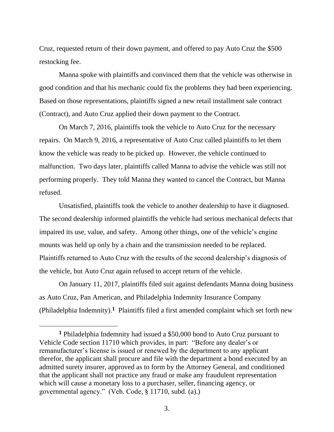Cruz, requested return of their down payment, and offered to pay Auto Cruz the \$500 restocking fee.

Manna spoke with plaintiffs and convinced them that the vehicle was otherwise in good condition and that his mechanic could fix the problems they had been experiencing. Based on those representations, plaintiffs signed a new retail installment sale contract (Contract), and Auto Cruz applied their down payment to the Contract.

On March 7, 2016, plaintiffs took the vehicle to Auto Cruz for the necessary repairs. On March 9, 2016, a representative of Auto Cruz called plaintiffs to let them know the vehicle was ready to be picked up. However, the vehicle continued to malfunction. Two days later, plaintiffs called Manna to advise the vehicle was still not performing properly. They told Manna they wanted to cancel the Contract, but Manna refused.

Unsatisfied, plaintiffs took the vehicle to another dealership to have it diagnosed. The second dealership informed plaintiffs the vehicle had serious mechanical defects that impaired its use, value, and safety. Among other things, one of the vehicle's engine mounts was held up only by a chain and the transmission needed to be replaced. Plaintiffs returned to Auto Cruz with the results of the second dealership's diagnosis of the vehicle, but Auto Cruz again refused to accept return of the vehicle.

On January 11, 2017, plaintiffs filed suit against defendants Manna doing business as Auto Cruz, Pan American, and Philadelphia Indemnity Insurance Company (Philadelphia Indemnity).**<sup>1</sup>** Plaintiffs filed a first amended complaint which set forth new

**<sup>1</sup>** Philadelphia Indemnity had issued a \$50,000 bond to Auto Cruz pursuant to Vehicle Code section 11710 which provides, in part: "Before any dealer's or remanufacturer's license is issued or renewed by the department to any applicant therefor, the applicant shall procure and file with the department a bond executed by an admitted surety insurer, approved as to form by the Attorney General, and conditioned that the applicant shall not practice any fraud or make any fraudulent representation which will cause a monetary loss to a purchaser, seller, financing agency, or governmental agency." (Veh. Code, § 11710, subd. (a).)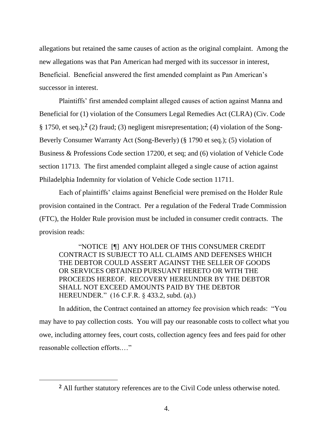allegations but retained the same causes of action as the original complaint. Among the new allegations was that Pan American had merged with its successor in interest, Beneficial. Beneficial answered the first amended complaint as Pan American's successor in interest.

Plaintiffs' first amended complaint alleged causes of action against Manna and Beneficial for (1) violation of the Consumers Legal Remedies Act (CLRA) (Civ. Code § 1750, et seq.);**<sup>2</sup>** (2) fraud; (3) negligent misrepresentation; (4) violation of the Song-Beverly Consumer Warranty Act (Song-Beverly) (§ 1790 et seq.); (5) violation of Business & Professions Code section 17200, et seq; and (6) violation of Vehicle Code section 11713. The first amended complaint alleged a single cause of action against Philadelphia Indemnity for violation of Vehicle Code section 11711.

Each of plaintiffs' claims against Beneficial were premised on the Holder Rule provision contained in the Contract. Per a regulation of the Federal Trade Commission (FTC), the Holder Rule provision must be included in consumer credit contracts. The provision reads:

"NOTICE [¶] ANY HOLDER OF THIS CONSUMER CREDIT CONTRACT IS SUBJECT TO ALL CLAIMS AND DEFENSES WHICH THE DEBTOR COULD ASSERT AGAINST THE SELLER OF GOODS OR SERVICES OBTAINED PURSUANT HERETO OR WITH THE PROCEEDS HEREOF. RECOVERY HEREUNDER BY THE DEBTOR SHALL NOT EXCEED AMOUNTS PAID BY THE DEBTOR HEREUNDER." (16 C.F.R. § 433.2, subd. (a).)

In addition, the Contract contained an attorney fee provision which reads: "You may have to pay collection costs. You will pay our reasonable costs to collect what you owe, including attorney fees, court costs, collection agency fees and fees paid for other reasonable collection efforts.…"

**<sup>2</sup>** All further statutory references are to the Civil Code unless otherwise noted.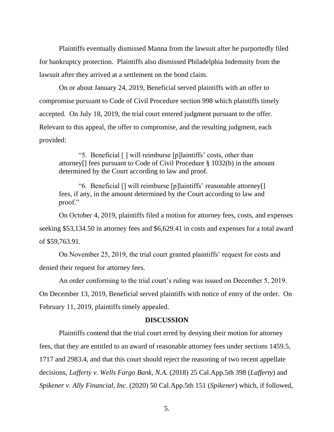Plaintiffs eventually dismissed Manna from the lawsuit after he purportedly filed for bankruptcy protection. Plaintiffs also dismissed Philadelphia Indemnity from the lawsuit after they arrived at a settlement on the bond claim.

On or about January 24, 2019, Beneficial served plaintiffs with an offer to compromise pursuant to Code of Civil Procedure section 998 which plaintiffs timely accepted. On July 18, 2019, the trial court entered judgment pursuant to the offer. Relevant to this appeal, the offer to compromise, and the resulting judgment, each provided:

"5. Beneficial [ ] will reimburse [p]laintiffs' costs, other than attorney[] fees pursuant to Code of Civil Procedure § 1032(b) in the amount determined by the Court according to law and proof.

"6. Beneficial [] will reimburse [p]laintiffs' reasonable attorney[] fees, if any, in the amount determined by the Court according to law and proof."

On October 4, 2019, plaintiffs filed a motion for attorney fees, costs, and expenses seeking \$53,134.50 in attorney fees and \$6,629.41 in costs and expenses for a total award of \$59,763.91.

On November 25, 2019, the trial court granted plaintiffs' request for costs and denied their request for attorney fees.

An order conforming to the trial court's ruling was issued on December 5, 2019.

On December 13, 2019, Beneficial served plaintiffs with notice of entry of the order. On February 11, 2019, plaintiffs timely appealed.

### **DISCUSSION**

Plaintiffs contend that the trial court erred by denying their motion for attorney fees, that they are entitled to an award of reasonable attorney fees under sections 1459.5, 1717 and 2983.4, and that this court should reject the reasoning of two recent appellate decisions, *Lafferty v. Wells Fargo Bank, N.A.* (2018) 25 Cal.App.5th 398 (*Lafferty*) and *Spikener v. Ally Financial, Inc.* (2020) 50 Cal.App.5th 151 (*Spikener*) which, if followed,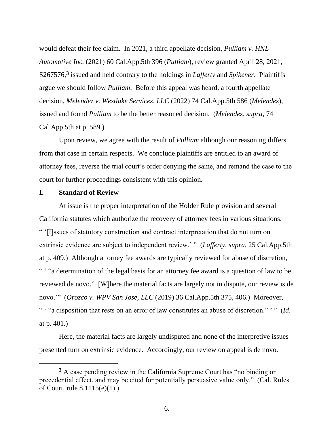would defeat their fee claim. In 2021, a third appellate decision, *Pulliam v. HNL Automotive Inc.* (2021) 60 Cal.App.5th 396 (*Pulliam*), review granted April 28, 2021, S267576,**<sup>3</sup>** issued and held contrary to the holdings in *Lafferty* and *Spikener*. Plaintiffs argue we should follow *Pulliam*. Before this appeal was heard, a fourth appellate decision, *Melendez v. Westlake Services, LLC* (2022) 74 Cal.App.5th 586 (*Melendez*), issued and found *Pulliam* to be the better reasoned decision. (*Melendez*, *supra*, 74 Cal.App.5th at p. 589.)

Upon review, we agree with the result of *Pulliam* although our reasoning differs from that case in certain respects. We conclude plaintiffs are entitled to an award of attorney fees, reverse the trial court's order denying the same, and remand the case to the court for further proceedings consistent with this opinion.

#### **I. Standard of Review**

At issue is the proper interpretation of the Holder Rule provision and several California statutes which authorize the recovery of attorney fees in various situations. " '[I]ssues of statutory construction and contract interpretation that do not turn on extrinsic evidence are subject to independent review.' " (*Lafferty*, *supra*, 25 Cal.App.5th at p. 409.) Although attorney fee awards are typically reviewed for abuse of discretion, " ' "a determination of the legal basis for an attorney fee award is a question of law to be reviewed de novo." [W]here the material facts are largely not in dispute, our review is de novo.'" (*Orozco v. WPV San Jose, LLC* (2019) 36 Cal.App.5th 375, 406.) Moreover, " ' "a disposition that rests on an error of law constitutes an abuse of discretion." ' " (*Id*. at p. 401.)

Here, the material facts are largely undisputed and none of the interpretive issues presented turn on extrinsic evidence. Accordingly, our review on appeal is de novo.

**<sup>3</sup>** A case pending review in the California Supreme Court has "no binding or precedential effect, and may be cited for potentially persuasive value only." (Cal. Rules of Court, rule 8.1115(e)(1).)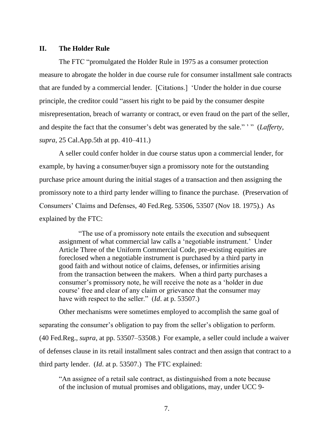## **II. The Holder Rule**

The FTC "promulgated the Holder Rule in 1975 as a consumer protection measure to abrogate the holder in due course rule for consumer installment sale contracts that are funded by a commercial lender. [Citations.] 'Under the holder in due course principle, the creditor could "assert his right to be paid by the consumer despite misrepresentation, breach of warranty or contract, or even fraud on the part of the seller, and despite the fact that the consumer's debt was generated by the sale." ' " (*Lafferty*, *supra*, 25 Cal.App.5th at pp. 410–411.)

A seller could confer holder in due course status upon a commercial lender, for example, by having a consumer/buyer sign a promissory note for the outstanding purchase price amount during the initial stages of a transaction and then assigning the promissory note to a third party lender willing to finance the purchase. (Preservation of Consumers' Claims and Defenses, 40 Fed.Reg. 53506, 53507 (Nov 18. 1975).) As explained by the FTC:

"The use of a promissory note entails the execution and subsequent assignment of what commercial law calls a 'negotiable instrument.' Under Article Three of the Uniform Commercial Code, pre-existing equities are foreclosed when a negotiable instrument is purchased by a third party in good faith and without notice of claims, defenses, or infirmities arising from the transaction between the makers. When a third party purchases a consumer's promissory note, he will receive the note as a 'holder in due course' free and clear of any claim or grievance that the consumer may have with respect to the seller." (*Id*. at p. 53507.)

Other mechanisms were sometimes employed to accomplish the same goal of separating the consumer's obligation to pay from the seller's obligation to perform. (40 Fed.Reg., *supra*, at pp. 53507–53508.) For example, a seller could include a waiver of defenses clause in its retail installment sales contract and then assign that contract to a third party lender. (*Id*. at p. 53507.) The FTC explained:

"An assignee of a retail sale contract, as distinguished from a note because of the inclusion of mutual promises and obligations, may, under UCC 9-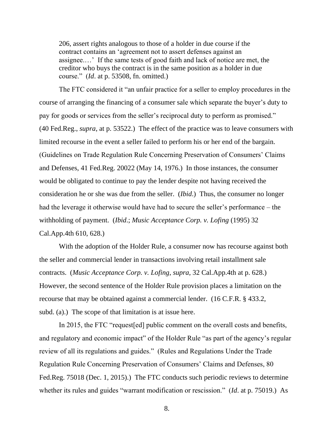206, assert rights analogous to those of a holder in due course if the contract contains an 'agreement not to assert defenses against an assignee.…' If the same tests of good faith and lack of notice are met, the creditor who buys the contract is in the same position as a holder in due course." (*Id*. at p. 53508, fn. omitted.)

The FTC considered it "an unfair practice for a seller to employ procedures in the course of arranging the financing of a consumer sale which separate the buyer's duty to pay for goods or services from the seller's reciprocal duty to perform as promised." (40 Fed.Reg., *supra*, at p. 53522.) The effect of the practice was to leave consumers with limited recourse in the event a seller failed to perform his or her end of the bargain. (Guidelines on Trade Regulation Rule Concerning Preservation of Consumers' Claims and Defenses, 41 Fed.Reg. 20022 (May 14, 1976.) In those instances, the consumer would be obligated to continue to pay the lender despite not having received the consideration he or she was due from the seller. (*Ibid*.) Thus, the consumer no longer had the leverage it otherwise would have had to secure the seller's performance – the withholding of payment. (*Ibid*.; *Music Acceptance Corp. v. Lofing* (1995) 32 Cal.App.4th 610, 628.)

With the adoption of the Holder Rule, a consumer now has recourse against both the seller and commercial lender in transactions involving retail installment sale contracts. (*Music Acceptance Corp. v. Lofing*, *supra*, 32 Cal.App.4th at p. 628.) However, the second sentence of the Holder Rule provision places a limitation on the recourse that may be obtained against a commercial lender. (16 C.F.R. § 433.2, subd. (a).) The scope of that limitation is at issue here.

In 2015, the FTC "request[ed] public comment on the overall costs and benefits, and regulatory and economic impact" of the Holder Rule "as part of the agency's regular review of all its regulations and guides." (Rules and Regulations Under the Trade Regulation Rule Concerning Preservation of Consumers' Claims and Defenses, 80 Fed.Reg. 75018 (Dec. 1, 2015).) The FTC conducts such periodic reviews to determine whether its rules and guides "warrant modification or rescission." (*Id*. at p. 75019.) As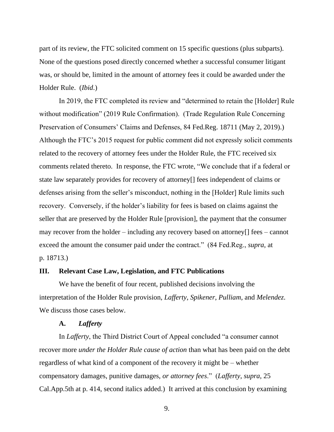part of its review, the FTC solicited comment on 15 specific questions (plus subparts). None of the questions posed directly concerned whether a successful consumer litigant was, or should be, limited in the amount of attorney fees it could be awarded under the Holder Rule. (*Ibid*.)

In 2019, the FTC completed its review and "determined to retain the [Holder] Rule without modification" (2019 Rule Confirmation). (Trade Regulation Rule Concerning Preservation of Consumers' Claims and Defenses, 84 Fed.Reg. 18711 (May 2, 2019).) Although the FTC's 2015 request for public comment did not expressly solicit comments related to the recovery of attorney fees under the Holder Rule, the FTC received six comments related thereto. In response, the FTC wrote, "We conclude that if a federal or state law separately provides for recovery of attorney[] fees independent of claims or defenses arising from the seller's misconduct, nothing in the [Holder] Rule limits such recovery. Conversely, if the holder's liability for fees is based on claims against the seller that are preserved by the Holder Rule [provision], the payment that the consumer may recover from the holder – including any recovery based on attorney[] fees – cannot exceed the amount the consumer paid under the contract." (84 Fed.Reg., *supra*, at p. 18713.)

#### **III. Relevant Case Law, Legislation, and FTC Publications**

We have the benefit of four recent, published decisions involving the interpretation of the Holder Rule provision, *Lafferty*, *Spikener*, *Pulliam*, and *Melendez*. We discuss those cases below.

#### **A.** *Lafferty*

In *Lafferty*, the Third District Court of Appeal concluded "a consumer cannot recover more *under the Holder Rule cause of action* than what has been paid on the debt regardless of what kind of a component of the recovery it might be – whether compensatory damages, punitive damages, *or attorney fees*." (*Lafferty*, *supra*, 25 Cal.App.5th at p. 414, second italics added.) It arrived at this conclusion by examining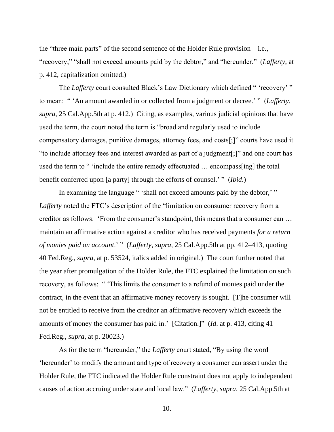the "three main parts" of the second sentence of the Holder Rule provision  $-$  i.e., "recovery," "shall not exceed amounts paid by the debtor," and "hereunder." (*Lafferty*, at p. 412, capitalization omitted.)

The *Lafferty* court consulted Black's Law Dictionary which defined " 'recovery' " to mean: " 'An amount awarded in or collected from a judgment or decree.' " (*Lafferty*, *supra*, 25 Cal.App.5th at p. 412.) Citing, as examples, various judicial opinions that have used the term, the court noted the term is "broad and regularly used to include compensatory damages, punitive damages, attorney fees, and costs[;]" courts have used it "to include attorney fees and interest awarded as part of a judgment[;]" and one court has used the term to " 'include the entire remedy effectuated … encompass[ing] the total benefit conferred upon [a party] through the efforts of counsel.' " (*Ibid*.)

In examining the language " 'shall not exceed amounts paid by the debtor,' " *Lafferty* noted the FTC's description of the "limitation on consumer recovery from a creditor as follows: 'From the consumer's standpoint, this means that a consumer can … maintain an affirmative action against a creditor who has received payments *for a return of monies paid on account*.' " (*Lafferty*, *supra*, 25 Cal.App.5th at pp. 412–413, quoting 40 Fed.Reg., *supra*, at p. 53524, italics added in original.) The court further noted that the year after promulgation of the Holder Rule, the FTC explained the limitation on such recovery, as follows: " 'This limits the consumer to a refund of monies paid under the contract, in the event that an affirmative money recovery is sought. [T]he consumer will not be entitled to receive from the creditor an affirmative recovery which exceeds the amounts of money the consumer has paid in.' [Citation.]" (*Id*. at p. 413, citing 41 Fed.Reg., *supra*, at p. 20023.)

As for the term "hereunder," the *Lafferty* court stated, "By using the word 'hereunder' to modify the amount and type of recovery a consumer can assert under the Holder Rule, the FTC indicated the Holder Rule constraint does not apply to independent causes of action accruing under state and local law." (*Lafferty*, *supra*, 25 Cal.App.5th at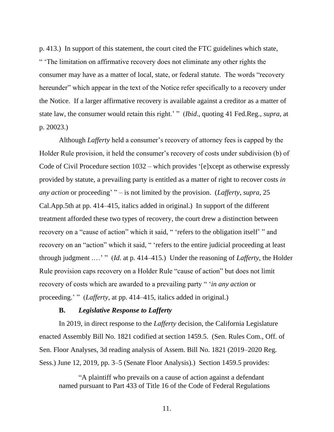p. 413.) In support of this statement, the court cited the FTC guidelines which state, " 'The limitation on affirmative recovery does not eliminate any other rights the consumer may have as a matter of local, state, or federal statute. The words "recovery hereunder" which appear in the text of the Notice refer specifically to a recovery under the Notice. If a larger affirmative recovery is available against a creditor as a matter of state law, the consumer would retain this right.' " (*Ibid*., quoting 41 Fed.Reg., *supra*, at p. 20023.)

Although *Lafferty* held a consumer's recovery of attorney fees is capped by the Holder Rule provision, it held the consumer's recovery of costs under subdivision (b) of Code of Civil Procedure section 1032 – which provides '[e]xcept as otherwise expressly provided by statute, a prevailing party is entitled as a matter of right to recover costs *in any action* or proceeding' " – is not limited by the provision. (*Lafferty*, *supra*, 25 Cal.App.5th at pp. 414–415, italics added in original.) In support of the different treatment afforded these two types of recovery, the court drew a distinction between recovery on a "cause of action" which it said, " 'refers to the obligation itself' " and recovery on an "action" which it said, " 'refers to the entire judicial proceeding at least through judgment .…' " (*Id*. at p. 414–415.) Under the reasoning of *Lafferty*, the Holder Rule provision caps recovery on a Holder Rule "cause of action" but does not limit recovery of costs which are awarded to a prevailing party " '*in any action* or proceeding.' " (*Lafferty*, at pp. 414–415, italics added in original.)

## **B.** *Legislative Response to Lafferty*

In 2019, in direct response to the *Lafferty* decision, the California Legislature enacted Assembly Bill No. 1821 codified at section 1459.5. (Sen. Rules Com., Off. of Sen. Floor Analyses, 3d reading analysis of Assem. Bill No. 1821 (2019–2020 Reg. Sess.) June 12, 2019, pp. 3–5 (Senate Floor Analysis).) Section 1459.5 provides:

"A plaintiff who prevails on a cause of action against a defendant named pursuant to Part 433 of Title 16 of the Code of Federal Regulations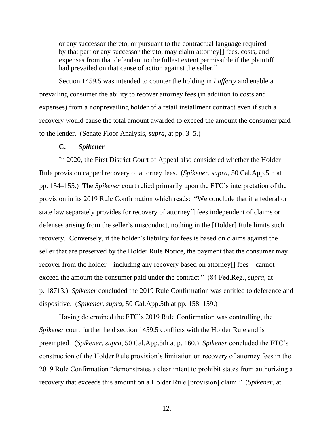or any successor thereto, or pursuant to the contractual language required by that part or any successor thereto, may claim attorney[] fees, costs, and expenses from that defendant to the fullest extent permissible if the plaintiff had prevailed on that cause of action against the seller."

Section 1459.5 was intended to counter the holding in *Lafferty* and enable a prevailing consumer the ability to recover attorney fees (in addition to costs and expenses) from a nonprevailing holder of a retail installment contract even if such a recovery would cause the total amount awarded to exceed the amount the consumer paid to the lender. (Senate Floor Analysis, *supra*, at pp. 3–5.)

### **C.** *Spikener*

In 2020, the First District Court of Appeal also considered whether the Holder Rule provision capped recovery of attorney fees. (*Spikener*, *supra*, 50 Cal.App.5th at pp. 154–155.) The *Spikener* court relied primarily upon the FTC's interpretation of the provision in its 2019 Rule Confirmation which reads: "We conclude that if a federal or state law separately provides for recovery of attorney[] fees independent of claims or defenses arising from the seller's misconduct, nothing in the [Holder] Rule limits such recovery. Conversely, if the holder's liability for fees is based on claims against the seller that are preserved by the Holder Rule Notice, the payment that the consumer may recover from the holder – including any recovery based on attorney[] fees – cannot exceed the amount the consumer paid under the contract." (84 Fed.Reg., *supra*, at p. 18713.) *Spikener* concluded the 2019 Rule Confirmation was entitled to deference and dispositive. (*Spikener*, *supra*, 50 Cal.App.5th at pp. 158–159.)

Having determined the FTC's 2019 Rule Confirmation was controlling, the *Spikener* court further held section 1459.5 conflicts with the Holder Rule and is preempted. (*Spikener*, *supra*, 50 Cal.App.5th at p. 160.) *Spikener* concluded the FTC's construction of the Holder Rule provision's limitation on recovery of attorney fees in the 2019 Rule Confirmation "demonstrates a clear intent to prohibit states from authorizing a recovery that exceeds this amount on a Holder Rule [provision] claim." (*Spikener*, at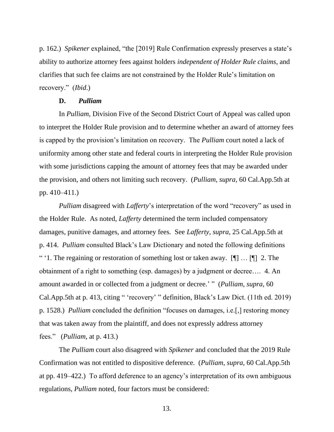p. 162.) *Spikener* explained, "the [2019] Rule Confirmation expressly preserves a state's ability to authorize attorney fees against holders *independent of Holder Rule claims*, and clarifies that such fee claims are not constrained by the Holder Rule's limitation on recovery." (*Ibid*.)

#### **D.** *Pulliam*

In *Pulliam*, Division Five of the Second District Court of Appeal was called upon to interpret the Holder Rule provision and to determine whether an award of attorney fees is capped by the provision's limitation on recovery. The *Pulliam* court noted a lack of uniformity among other state and federal courts in interpreting the Holder Rule provision with some jurisdictions capping the amount of attorney fees that may be awarded under the provision, and others not limiting such recovery. (*Pulliam*, *supra*, 60 Cal.App.5th at pp. 410–411.)

*Pulliam* disagreed with *Lafferty*'s interpretation of the word "recovery" as used in the Holder Rule. As noted, *Lafferty* determined the term included compensatory damages, punitive damages, and attorney fees. See *Lafferty*, *supra*, 25 Cal.App.5th at p. 414. *Pulliam* consulted Black's Law Dictionary and noted the following definitions " '1. The regaining or restoration of something lost or taken away.  $[\P] \dots [\P]$  2. The obtainment of a right to something (esp. damages) by a judgment or decree…. 4. An amount awarded in or collected from a judgment or decree.' " (*Pulliam*, *supra*, 60 Cal.App.5th at p. 413, citing " 'recovery' " definition, Black's Law Dict. (11th ed. 2019) p. 1528.) *Pulliam* concluded the definition "focuses on damages, i.e.[,] restoring money that was taken away from the plaintiff, and does not expressly address attorney fees." (*Pulliam*, at p. 413.)

The *Pulliam* court also disagreed with *Spikener* and concluded that the 2019 Rule Confirmation was not entitled to dispositive deference. (*Pulliam*, *supra*, 60 Cal.App.5th at pp. 419–422.) To afford deference to an agency's interpretation of its own ambiguous regulations, *Pulliam* noted, four factors must be considered: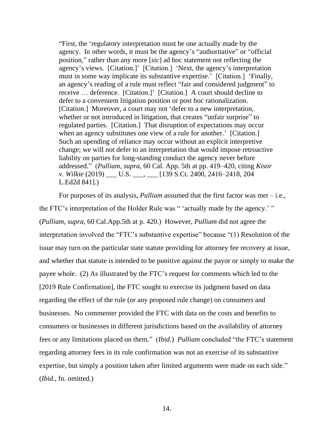"First, the 'regulatory interpretation must be one actually made by the agency. In other words, it must be the agency's "authoritative" or "official position," rather than any more [*sic*] ad hoc statement not reflecting the agency's views. [Citation.]' [Citation.] 'Next, the agency's interpretation must in some way implicate its substantive expertise.' [Citation.] 'Finally, an agency's reading of a rule must reflect "fair and considered judgment" to receive … deference. [Citation.]' [Citation.] A court should decline to defer to a convenient litigation position or post hoc rationalization. [Citation.] Moreover, a court may not 'defer to a new interpretation, whether or not introduced in litigation, that creates "unfair surprise" to regulated parties. [Citation.] That disruption of expectations may occur when an agency substitutes one view of a rule for another.' [Citation.] Such an upending of reliance may occur without an explicit interpretive change; we will not defer to an interpretation that would impose retroactive liability on parties for long-standing conduct the agency never before addressed." (*Pulliam*, *supra*, 60 Cal. App. 5th at pp. 419–420, citing *Kisor v. Wilkie* (2019) \_\_\_ U.S. \_\_\_, \_\_\_ [139 S.Ct. 2400, 2416–2418, 204 L.Ed2d 841].)

For purposes of its analysis, *Pulliam* assumed that the first factor was met – i.e., the FTC's interpretation of the Holder Rule was " 'actually made by the agency.' " (*Pulliam*, *supra*, 60 Cal.App.5th at p. 420.) However, *Pulliam* did not agree the interpretation involved the "FTC's substantive expertise" because "(1) Resolution of the issue may turn on the particular state statute providing for attorney fee recovery at issue, and whether that statute is intended to be punitive against the payor or simply to make the payee whole. (2) As illustrated by the FTC's request for comments which led to the [2019 Rule Confirmation], the FTC sought to exercise its judgment based on data regarding the effect of the rule (or any proposed rule change) on consumers and businesses. No commenter provided the FTC with data on the costs and benefits to consumers or businesses in different jurisdictions based on the availability of attorney fees or any limitations placed on them." (*Ibid*.) *Pulliam* concluded "the FTC's statement regarding attorney fees in its rule confirmation was not an exercise of its substantive expertise, but simply a position taken after limited arguments were made on each side." (*Ibid*., fn. omitted.)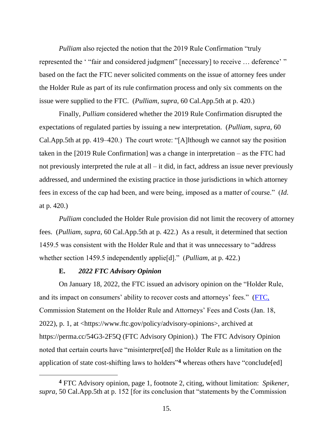*Pulliam* also rejected the notion that the 2019 Rule Confirmation "truly represented the ' "fair and considered judgment" [necessary] to receive … deference' " based on the fact the FTC never solicited comments on the issue of attorney fees under the Holder Rule as part of its rule confirmation process and only six comments on the issue were supplied to the FTC. (*Pulliam*, *supra*, 60 Cal.App.5th at p. 420.)

Finally, *Pulliam* considered whether the 2019 Rule Confirmation disrupted the expectations of regulated parties by issuing a new interpretation. (*Pulliam*, *supra*, 60 Cal.App.5th at pp. 419–420.) The court wrote: "[A]lthough we cannot say the position taken in the [2019 Rule Confirmation] was a change in interpretation – as the FTC had not previously interpreted the rule at all – it did, in fact, address an issue never previously addressed, and undermined the existing practice in those jurisdictions in which attorney fees in excess of the cap had been, and were being, imposed as a matter of course." (*Id*. at p. 420.)

*Pulliam* concluded the Holder Rule provision did not limit the recovery of attorney fees. (*Pulliam*, *supra*, 60 Cal.App.5th at p. 422.) As a result, it determined that section 1459.5 was consistent with the Holder Rule and that it was unnecessary to "address whether section 1459.5 independently applie[d]." (*Pulliam*, at p. 422.)

# **E.** *2022 FTC Advisory Opinion*

On January 18, 2022, the FTC issued an advisory opinion on the "Holder Rule, and its impact on consumers' ability to recover costs and attorneys' fees." (FTC, Commission Statement on the Holder Rule and Attorneys' Fees and Costs (Jan. 18, 2022), p. 1, at <https://www.ftc.gov/policy/advisory-opinions>, archived at https://perma.cc/54G3-2F5Q (FTC Advisory Opinion).) The FTC Advisory Opinion noted that certain courts have "misinterpret[ed] the Holder Rule as a limitation on the application of state cost-shifting laws to holders"**<sup>4</sup>** whereas others have "conclude[ed]

**<sup>4</sup>** FTC Advisory opinion, page 1, footnote 2, citing, without limitation: *Spikener*, *supra*, 50 Cal.App.5th at p. 152 [for its conclusion that "statements by the Commission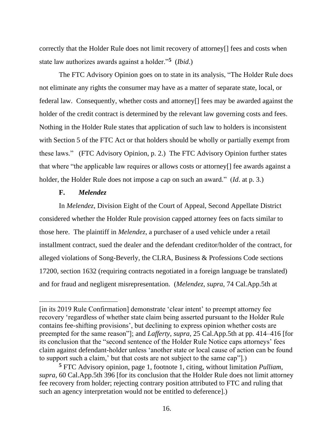correctly that the Holder Rule does not limit recovery of attorney[] fees and costs when state law authorizes awards against a holder."**<sup>5</sup>** (*Ibid*.)

The FTC Advisory Opinion goes on to state in its analysis, "The Holder Rule does not eliminate any rights the consumer may have as a matter of separate state, local, or federal law. Consequently, whether costs and attorney[] fees may be awarded against the holder of the credit contract is determined by the relevant law governing costs and fees. Nothing in the Holder Rule states that application of such law to holders is inconsistent with Section 5 of the FTC Act or that holders should be wholly or partially exempt from these laws." (FTC Advisory Opinion, p. 2.) The FTC Advisory Opinion further states that where "the applicable law requires or allows costs or attorney[] fee awards against a holder, the Holder Rule does not impose a cap on such an award." (*Id*. at p. 3.)

### **F.** *Melendez*

In *Melendez*, Division Eight of the Court of Appeal, Second Appellate District considered whether the Holder Rule provision capped attorney fees on facts similar to those here. The plaintiff in *Melendez*, a purchaser of a used vehicle under a retail installment contract, sued the dealer and the defendant creditor/holder of the contract, for alleged violations of Song-Beverly, the CLRA, Business & Professions Code sections 17200, section 1632 (requiring contracts negotiated in a foreign language be translated) and for fraud and negligent misrepresentation. (*Melendez*, *supra*, 74 Cal.App.5th at

<sup>[</sup>in its 2019 Rule Confirmation] demonstrate 'clear intent' to preempt attorney fee recovery 'regardless of whether state claim being asserted pursuant to the Holder Rule contains fee-shifting provisions', but declining to express opinion whether costs are preempted for the same reason"]; and *Lafferty*, *supra*, 25 Cal.App.5th at pp. 414–416 [for its conclusion that the "second sentence of the Holder Rule Notice caps attorneys' fees claim against defendant-holder unless 'another state or local cause of action can be found to support such a claim,' but that costs are not subject to the same cap"].)

**<sup>5</sup>** FTC Advisory opinion, page 1, footnote 1, citing, without limitation *Pulliam*, *supra*, 60 Cal.App.5th 396 [for its conclusion that the Holder Rule does not limit attorney fee recovery from holder; rejecting contrary position attributed to FTC and ruling that such an agency interpretation would not be entitled to deference].)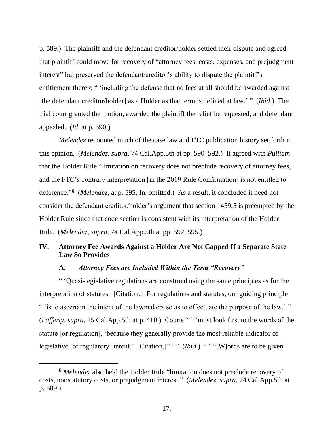p. 589.) The plaintiff and the defendant creditor/holder settled their dispute and agreed that plaintiff could move for recovery of "attorney fees, costs, expenses, and prejudgment interest" but preserved the defendant/creditor's ability to dispute the plaintiff's entitlement thereto " 'including the defense that no fees at all should be awarded against [the defendant creditor/holder] as a Holder as that term is defined at law.' " (*Ibid*.) The trial court granted the motion, awarded the plaintiff the relief he requested, and defendant appealed. (*Id*. at p. 590.)

*Melendez* recounted much of the case law and FTC publication history set forth in this opinion. (*Melendez*, *supra*, 74 Cal.App.5th at pp. 590–592.) It agreed with *Pulliam* that the Holder Rule "limitation on recovery does not preclude recovery of attorney fees, and the FTC's contrary interpretation [in the 2019 Rule Confirmation] is not entitled to deference." **6** (*Melendez*, at p. 595, fn. omitted.) As a result, it concluded it need not consider the defendant creditor/holder's argument that section 1459.5 is preempted by the Holder Rule since that code section is consistent with its interpretation of the Holder Rule. (*Melendez*, *supra*, 74 Cal.App.5th at pp. 592, 595.)

## **IV. Attorney Fee Awards Against a Holder Are Not Capped If a Separate State Law So Provides**

## **A.** *Attorney Fees are Included Within the Term "Recovery"*

" 'Quasi-legislative regulations are construed using the same principles as for the interpretation of statutes. [Citation.] For regulations and statutes, our guiding principle " 'is to ascertain the intent of the lawmakers so as to effectuate the purpose of the law.' " (*Lafferty*, *supra*, 25 Cal.App.5th at p. 410.) Courts " ' "must look first to the words of the statute [or regulation], 'because they generally provide the most reliable indicator of legislative [or regulatory] intent.' [Citation.]" '" (*Ibid.*) " '"[W]ords are to be given

**<sup>6</sup>** *Melendez* also held the Holder Rule "limitation does not preclude recovery of costs, nonstatutory costs, or prejudgment interest." (*Melendez*, *supra*, 74 Cal.App.5th at p. 589.)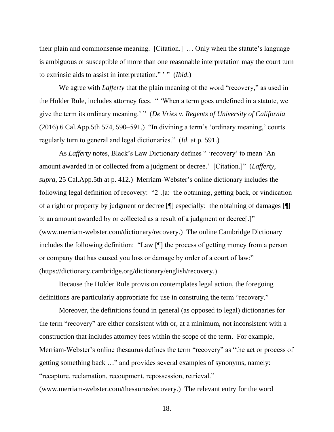their plain and commonsense meaning. [Citation.] … Only when the statute's language is ambiguous or susceptible of more than one reasonable interpretation may the court turn to extrinsic aids to assist in interpretation." ' " (*Ibid*.)

We agree with *Lafferty* that the plain meaning of the word "recovery," as used in the Holder Rule, includes attorney fees. " 'When a term goes undefined in a statute, we give the term its ordinary meaning.' " (*De Vries v. Regents of University of California* (2016) 6 Cal.App.5th 574, 590–591.) "In divining a term's 'ordinary meaning,' courts regularly turn to general and legal dictionaries." (*Id*. at p. 591.)

As *Lafferty* notes, Black's Law Dictionary defines " 'recovery' to mean 'An amount awarded in or collected from a judgment or decree.' [Citation.]" (*Lafferty*, *supra*, 25 Cal.App.5th at p. 412.) Merriam-Webster's online dictionary includes the following legal definition of recovery: "2[.]a: the obtaining, getting back, or vindication of a right or property by judgment or decree [¶] especially: the obtaining of damages [¶] b: an amount awarded by or collected as a result of a judgment or decree<sup>[1]</sup> (www.merriam-webster.com/dictionary/recovery.) The online Cambridge Dictionary includes the following definition: "Law [¶] the process of getting money from a person or company that has caused you loss or damage by order of a court of law:" (https://dictionary.cambridge.org/dictionary/english/recovery.)

Because the Holder Rule provision contemplates legal action, the foregoing definitions are particularly appropriate for use in construing the term "recovery."

Moreover, the definitions found in general (as opposed to legal) dictionaries for the term "recovery" are either consistent with or, at a minimum, not inconsistent with a construction that includes attorney fees within the scope of the term. For example, Merriam-Webster's online thesaurus defines the term "recovery" as "the act or process of getting something back …" and provides several examples of synonyms, namely: "recapture, reclamation, recoupment, repossession, retrieval." (www.merriam-webster.com/thesaurus/recovery.) The relevant entry for the word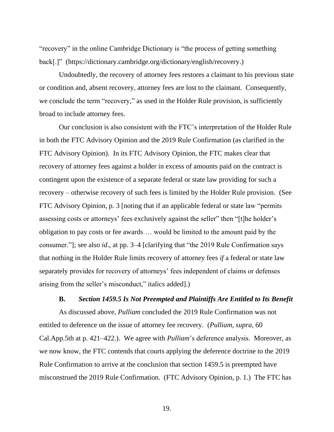"recovery" in the online Cambridge Dictionary is "the process of getting something back[.]" (https://dictionary.cambridge.org/dictionary/english/recovery.)

Undoubtedly, the recovery of attorney fees restores a claimant to his previous state or condition and, absent recovery, attorney fees are lost to the claimant. Consequently, we conclude the term "recovery," as used in the Holder Rule provision, is sufficiently broad to include attorney fees.

Our conclusion is also consistent with the FTC's interpretation of the Holder Rule in both the FTC Advisory Opinion and the 2019 Rule Confirmation (as clarified in the FTC Advisory Opinion). In its FTC Advisory Opinion, the FTC makes clear that recovery of attorney fees against a holder in excess of amounts paid on the contract is contingent upon the existence of a separate federal or state law providing for such a recovery – otherwise recovery of such fees is limited by the Holder Rule provision. (See FTC Advisory Opinion, p. 3 [noting that if an applicable federal or state law "permits assessing costs or attorneys' fees exclusively against the seller" then "[t]he holder's obligation to pay costs or fee awards … would be limited to the amount paid by the consumer."]; see also *id*., at pp. 3–4 [clarifying that "the 2019 Rule Confirmation says that nothing in the Holder Rule limits recovery of attorney fees *if* a federal or state law separately provides for recovery of attorneys' fees independent of claims or defenses arising from the seller's misconduct," italics added].)

#### **B.** *Section 1459.5 Is Not Preempted and Plaintiffs Are Entitled to Its Benefit*

As discussed above, *Pulliam* concluded the 2019 Rule Confirmation was not entitled to deference on the issue of attorney fee recovery. (*Pulliam*, *supra*, 60 Cal.App.5th at p. 421–422.). We agree with *Pulliam*'s deference analysis. Moreover, as we now know, the FTC contends that courts applying the deference doctrine to the 2019 Rule Confirmation to arrive at the conclusion that section 1459.5 is preempted have misconstrued the 2019 Rule Confirmation. (FTC Advisory Opinion, p. 1.) The FTC has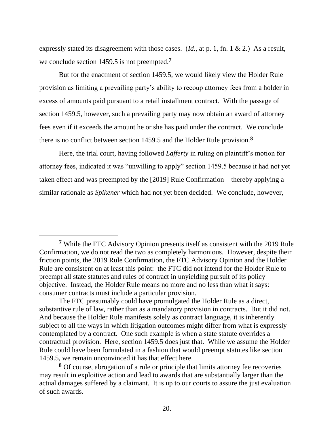expressly stated its disagreement with those cases. (*Id*., at p. 1, fn. 1 & 2.) As a result, we conclude section 1459.5 is not preempted.**<sup>7</sup>**

But for the enactment of section 1459.5, we would likely view the Holder Rule provision as limiting a prevailing party's ability to recoup attorney fees from a holder in excess of amounts paid pursuant to a retail installment contract. With the passage of section 1459.5, however, such a prevailing party may now obtain an award of attorney fees even if it exceeds the amount he or she has paid under the contract. We conclude there is no conflict between section 1459.5 and the Holder Rule provision.**<sup>8</sup>**

Here, the trial court, having followed *Lafferty* in ruling on plaintiff's motion for attorney fees, indicated it was "unwilling to apply" section 1459.5 because it had not yet taken effect and was preempted by the [2019] Rule Confirmation – thereby applying a similar rationale as *Spikener* which had not yet been decided. We conclude, however,

**<sup>8</sup>** Of course, abrogation of a rule or principle that limits attorney fee recoveries may result in exploitive action and lead to awards that are substantially larger than the actual damages suffered by a claimant. It is up to our courts to assure the just evaluation of such awards.

**<sup>7</sup>** While the FTC Advisory Opinion presents itself as consistent with the 2019 Rule Confirmation, we do not read the two as completely harmonious. However, despite their friction points, the 2019 Rule Confirmation, the FTC Advisory Opinion and the Holder Rule are consistent on at least this point: the FTC did not intend for the Holder Rule to preempt all state statutes and rules of contract in unyielding pursuit of its policy objective. Instead, the Holder Rule means no more and no less than what it says: consumer contracts must include a particular provision.

The FTC presumably could have promulgated the Holder Rule as a direct, substantive rule of law, rather than as a mandatory provision in contracts. But it did not. And because the Holder Rule manifests solely as contract language, it is inherently subject to all the ways in which litigation outcomes might differ from what is expressly contemplated by a contract. One such example is when a state statute overrides a contractual provision. Here, section 1459.5 does just that. While we assume the Holder Rule could have been formulated in a fashion that would preempt statutes like section 1459.5, we remain unconvinced it has that effect here.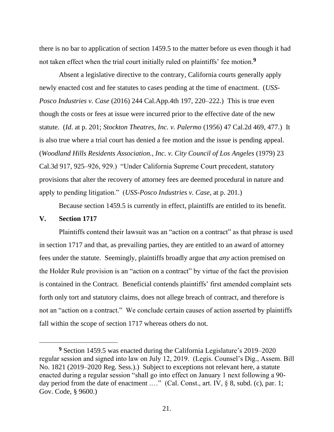there is no bar to application of section 1459.5 to the matter before us even though it had not taken effect when the trial court initially ruled on plaintiffs' fee motion.**<sup>9</sup>**

Absent a legislative directive to the contrary, California courts generally apply newly enacted cost and fee statutes to cases pending at the time of enactment. (*USS-Posco Industries v. Case* (2016) 244 Cal.App.4th 197, 220–222.) This is true even though the costs or fees at issue were incurred prior to the effective date of the new statute. (*Id*. at p. 201; *Stockton Theatres, Inc. v. Palermo* (1956) 47 Cal.2d 469, 477.) It is also true where a trial court has denied a fee motion and the issue is pending appeal. (*Woodland Hills Residents Association., Inc. v. City Council of Los Angeles* (1979) 23 Cal.3d 917, 925–926, 929.) "Under California Supreme Court precedent, statutory provisions that alter the recovery of attorney fees are deemed procedural in nature and apply to pending litigation." (*USS-Posco Industries v. Case*, at p. 201.)

Because section 1459.5 is currently in effect, plaintiffs are entitled to its benefit.

### **V. Section 1717**

Plaintiffs contend their lawsuit was an "action on a contract" as that phrase is used in section 1717 and that, as prevailing parties, they are entitled to an award of attorney fees under the statute. Seemingly, plaintiffs broadly argue that *any* action premised on the Holder Rule provision is an "action on a contract" by virtue of the fact the provision is contained in the Contract. Beneficial contends plaintiffs' first amended complaint sets forth only tort and statutory claims, does not allege breach of contract, and therefore is not an "action on a contract." We conclude certain causes of action asserted by plaintiffs fall within the scope of section 1717 whereas others do not.

**<sup>9</sup>** Section 1459.5 was enacted during the California Legislature's 2019–2020 regular session and signed into law on July 12, 2019. (Legis. Counsel's Dig., Assem. Bill No. 1821 (2019–2020 Reg. Sess.).) Subject to exceptions not relevant here, a statute enacted during a regular session "shall go into effect on January 1 next following a 90 day period from the date of enactment ...." (Cal. Const., art. IV, § 8, subd. (c), par. 1; Gov. Code, § 9600.)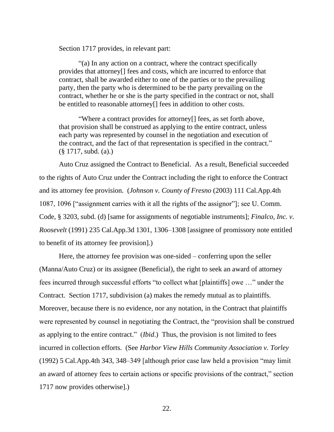Section 1717 provides, in relevant part:

"(a) In any action on a contract, where the contract specifically provides that attorney[] fees and costs, which are incurred to enforce that contract, shall be awarded either to one of the parties or to the prevailing party, then the party who is determined to be the party prevailing on the contract, whether he or she is the party specified in the contract or not, shall be entitled to reasonable attorney[] fees in addition to other costs.

"Where a contract provides for attorney[] fees, as set forth above, that provision shall be construed as applying to the entire contract, unless each party was represented by counsel in the negotiation and execution of the contract, and the fact of that representation is specified in the contract." (§ 1717, subd. (a).)

Auto Cruz assigned the Contract to Beneficial. As a result, Beneficial succeeded to the rights of Auto Cruz under the Contract including the right to enforce the Contract and its attorney fee provision. (*Johnson v. County of Fresno* (2003) 111 Cal.App.4th 1087, 1096 ["assignment carries with it all the rights of the assignor"]; see U. Comm. Code, § 3203, subd. (d) [same for assignments of negotiable instruments]; *Finalco, Inc. v. Roosevelt* (1991) 235 Cal.App.3d 1301, 1306–1308 [assignee of promissory note entitled to benefit of its attorney fee provision].)

Here, the attorney fee provision was one-sided – conferring upon the seller (Manna/Auto Cruz) or its assignee (Beneficial), the right to seek an award of attorney fees incurred through successful efforts "to collect what [plaintiffs] owe …" under the Contract. Section 1717, subdivision (a) makes the remedy mutual as to plaintiffs. Moreover, because there is no evidence, nor any notation, in the Contract that plaintiffs were represented by counsel in negotiating the Contract, the "provision shall be construed as applying to the entire contract." (*Ibid*.) Thus, the provision is not limited to fees incurred in collection efforts. (See *Harbor View Hills Community Association v. Torley* (1992) 5 Cal.App.4th 343, 348–349 [although prior case law held a provision "may limit an award of attorney fees to certain actions or specific provisions of the contract," section 1717 now provides otherwise].)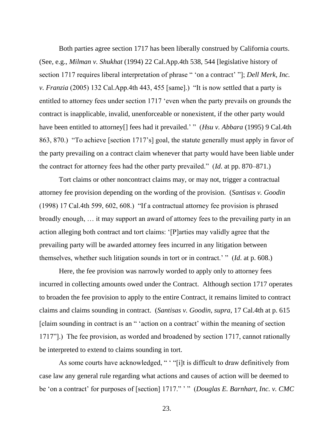Both parties agree section 1717 has been liberally construed by California courts. (See, e.g., *Milman v. Shukhat* (1994) 22 Cal.App.4th 538, 544 [legislative history of section 1717 requires liberal interpretation of phrase " 'on a contract' "]; *Dell Merk, Inc. v. Franzia* (2005) 132 Cal.App.4th 443, 455 [same].) "It is now settled that a party is entitled to attorney fees under section 1717 'even when the party prevails on grounds the contract is inapplicable, invalid, unenforceable or nonexistent, if the other party would have been entitled to attorney<sup>[]</sup> fees had it prevailed.' " (*Hsu v. Abbara* (1995) 9 Cal.4th 863, 870.) "To achieve [section 1717's] goal, the statute generally must apply in favor of the party prevailing on a contract claim whenever that party would have been liable under the contract for attorney fees had the other party prevailed." (*Id*. at pp. 870–871.)

Tort claims or other noncontract claims may, or may not, trigger a contractual attorney fee provision depending on the wording of the provision. (*Santisas v. Goodin* (1998) 17 Cal.4th 599, 602, 608.) "If a contractual attorney fee provision is phrased broadly enough, … it may support an award of attorney fees to the prevailing party in an action alleging both contract and tort claims: '[P]arties may validly agree that the prevailing party will be awarded attorney fees incurred in any litigation between themselves, whether such litigation sounds in tort or in contract.' " (*Id*. at p. 608.)

Here, the fee provision was narrowly worded to apply only to attorney fees incurred in collecting amounts owed under the Contract. Although section 1717 operates to broaden the fee provision to apply to the entire Contract, it remains limited to contract claims and claims sounding in contract. (*Santisas v. Goodin*, *supra*, 17 Cal.4th at p. 615 [claim sounding in contract is an " 'action on a contract' within the meaning of section 1717"].) The fee provision, as worded and broadened by section 1717, cannot rationally be interpreted to extend to claims sounding in tort.

As some courts have acknowledged, " ' "[i]t is difficult to draw definitively from case law any general rule regarding what actions and causes of action will be deemed to be 'on a contract' for purposes of [section] 1717." " (*Douglas E. Barnhart, Inc. v. CMC*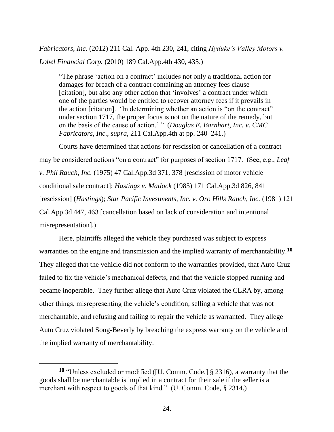*Fabricators, Inc.* (2012) 211 Cal. App. 4th 230, 241, citing *Hyduke's Valley Motors v. Lobel Financial Corp.* (2010) 189 Cal.App.4th 430, 435.)

"The phrase 'action on a contract' includes not only a traditional action for damages for breach of a contract containing an attorney fees clause [citation], but also any other action that 'involves' a contract under which one of the parties would be entitled to recover attorney fees if it prevails in the action [citation]. 'In determining whether an action is "on the contract" under section 1717, the proper focus is not on the nature of the remedy, but on the basis of the cause of action.' " (*Douglas E. Barnhart, Inc. v. CMC Fabricators, Inc*., *supra*, 211 Cal.App.4th at pp. 240–241.)

Courts have determined that actions for rescission or cancellation of a contract may be considered actions "on a contract" for purposes of section 1717. (See, e.g., *Leaf v. Phil Rauch, Inc.* (1975) 47 Cal.App.3d 371, 378 [rescission of motor vehicle conditional sale contract]; *Hastings v. Matlock* (1985) 171 Cal.App.3d 826, 841 [rescission] (*Hastings*); *Star Pacific Investments, Inc. v. Oro Hills Ranch, Inc.* (1981) 121 Cal.App.3d 447, 463 [cancellation based on lack of consideration and intentional misrepresentation].)

Here, plaintiffs alleged the vehicle they purchased was subject to express warranties on the engine and transmission and the implied warranty of merchantability.**<sup>10</sup>** They alleged that the vehicle did not conform to the warranties provided, that Auto Cruz failed to fix the vehicle's mechanical defects, and that the vehicle stopped running and became inoperable. They further allege that Auto Cruz violated the CLRA by, among other things, misrepresenting the vehicle's condition, selling a vehicle that was not merchantable, and refusing and failing to repair the vehicle as warranted. They allege Auto Cruz violated Song-Beverly by breaching the express warranty on the vehicle and the implied warranty of merchantability.

**<sup>10</sup>** "Unless excluded or modified ([U. Comm. Code,] § 2316), a warranty that the goods shall be merchantable is implied in a contract for their sale if the seller is a merchant with respect to goods of that kind." (U. Comm. Code, § 2314.)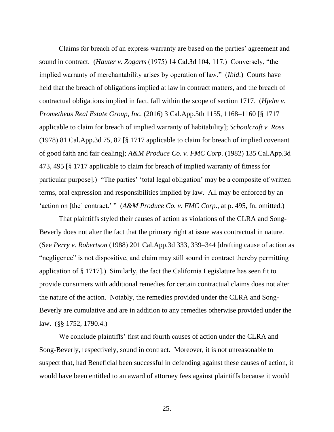Claims for breach of an express warranty are based on the parties' agreement and sound in contract. (*Hauter v. Zogarts* (1975) 14 Cal.3d 104, 117.) Conversely, "the implied warranty of merchantability arises by operation of law." (*Ibid*.) Courts have held that the breach of obligations implied at law in contract matters, and the breach of contractual obligations implied in fact, fall within the scope of section 1717. (*Hjelm v. Prometheus Real Estate Group, Inc.* (2016) 3 Cal.App.5th 1155, 1168–1160 [§ 1717 applicable to claim for breach of implied warranty of habitability]; *Schoolcraft v. Ross* (1978) 81 Cal.App.3d 75, 82 [§ 1717 applicable to claim for breach of implied covenant of good faith and fair dealing]; *A&M Produce Co. v. FMC Corp*. (1982) 135 Cal.App.3d 473, 495 [§ 1717 applicable to claim for breach of implied warranty of fitness for particular purpose].) "The parties' 'total legal obligation' may be a composite of written terms, oral expression and responsibilities implied by law. All may be enforced by an 'action on [the] contract.' " (*A&M Produce Co. v. FMC Corp*., at p. 495, fn. omitted.)

That plaintiffs styled their causes of action as violations of the CLRA and Song-Beverly does not alter the fact that the primary right at issue was contractual in nature. (See *Perry v. Robertson* (1988) 201 Cal.App.3d 333, 339–344 [drafting cause of action as "negligence" is not dispositive, and claim may still sound in contract thereby permitting application of § 1717].) Similarly, the fact the California Legislature has seen fit to provide consumers with additional remedies for certain contractual claims does not alter the nature of the action. Notably, the remedies provided under the CLRA and Song-Beverly are cumulative and are in addition to any remedies otherwise provided under the law. (§§ 1752, 1790.4.)

We conclude plaintiffs' first and fourth causes of action under the CLRA and Song-Beverly, respectively, sound in contract. Moreover, it is not unreasonable to suspect that, had Beneficial been successful in defending against these causes of action, it would have been entitled to an award of attorney fees against plaintiffs because it would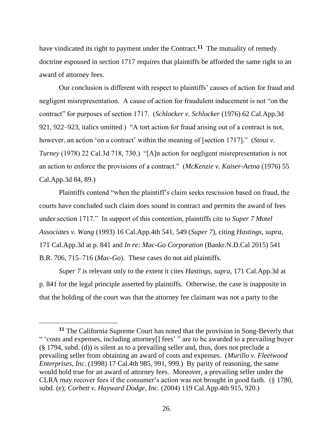have vindicated its right to payment under the Contract.**<sup>11</sup>** The mutuality of remedy doctrine espoused in section 1717 requires that plaintiffs be afforded the same right to an award of attorney fees.

Our conclusion is different with respect to plaintiffs' causes of action for fraud and negligent misrepresentation. A cause of action for fraudulent inducement is not "on the contract" for purposes of section 1717. (*Schlocker v. Schlocker* (1976) 62 Cal.App.3d 921, 922–923, italics omitted.) "A tort action for fraud arising out of a contract is not, however, an action 'on a contract' within the meaning of [section 1717]." (*Stout v. Turney* (1978) 22 Cal.3d 718, 730.) "[A]n action for negligent misrepresentation is not an action to enforce the provisions of a contract." (*McKenzie v. Kaiser-Aetna* (1976) 55 Cal.App.3d 84, 89.)

Plaintiffs contend "when the plaintiff's claim seeks rescission based on fraud, the courts have concluded such claim does sound in contract and permits the award of fees under section 1717." In support of this contention, plaintiffs cite to *Super 7 Motel Associates v. Wang* (1993) 16 Cal.App.4th 541, 549 (*Super 7*), citing *Hastings*, *supra*, 171 Cal.App.3d at p. 841 and *In re: Mac-Go Corporation* (Bankr.N.D.Cal 2015) 541 B.R. 706, 715–716 (*Mac-Go*). These cases do not aid plaintiffs.

*Super 7* is relevant only to the extent it cites *Hastings*, *supra*, 171 Cal.App.3d at p. 841 for the legal principle asserted by plaintiffs. Otherwise, the case is inapposite in that the holding of the court was that the attorney fee claimant was not a party to the

**<sup>11</sup>** The California Supreme Court has noted that the provision in Song-Beverly that " 'costs and expenses, including attorney[] fees' " are to be awarded to a prevailing buyer (§ 1794, subd. (d)) is silent as to a prevailing seller and, thus, does not preclude a prevailing seller from obtaining an award of costs and expenses. (*Murillo v. Fleetwood Enterprises, Inc*. (1998) 17 Cal.4th 985, 991, 999.) By parity of reasoning, the same would hold true for an award of attorney fees. Moreover, a prevailing seller under the CLRA may recover fees if the consumer's action was not brought in good faith. (§ 1780, subd. (e); *Corbett v. Hayward Dodge, Inc.* (2004) 119 Cal.App.4th 915, 920.)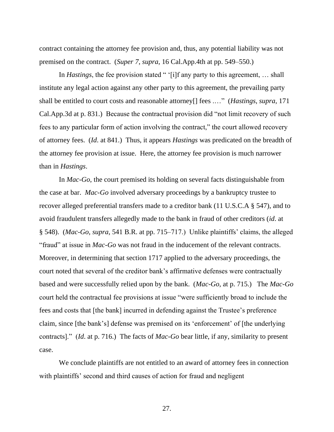contract containing the attorney fee provision and, thus, any potential liability was not premised on the contract. (*Super 7*, *supra*, 16 Cal.App.4th at pp. 549–550.)

In *Hastings*, the fee provision stated " '[i]f any party to this agreement, ... shall institute any legal action against any other party to this agreement, the prevailing party shall be entitled to court costs and reasonable attorney[] fees .…" (*Hastings*, *supra*, 171 Cal.App.3d at p. 831.) Because the contractual provision did "not limit recovery of such fees to any particular form of action involving the contract," the court allowed recovery of attorney fees. (*Id*. at 841.) Thus, it appears *Hastings* was predicated on the breadth of the attorney fee provision at issue. Here, the attorney fee provision is much narrower than in *Hastings*.

In *Mac-Go*, the court premised its holding on several facts distinguishable from the case at bar. *Mac-Go* involved adversary proceedings by a bankruptcy trustee to recover alleged preferential transfers made to a creditor bank (11 U.S.C.A § 547), and to avoid fraudulent transfers allegedly made to the bank in fraud of other creditors (*id*. at § 548). (*Mac-Go*, *supra*, 541 B.R. at pp. 715–717.) Unlike plaintiffs' claims, the alleged "fraud" at issue in *Mac-Go* was not fraud in the inducement of the relevant contracts. Moreover, in determining that section 1717 applied to the adversary proceedings, the court noted that several of the creditor bank's affirmative defenses were contractually based and were successfully relied upon by the bank. (*Mac-Go*, at p. 715.) The *Mac-Go* court held the contractual fee provisions at issue "were sufficiently broad to include the fees and costs that [the bank] incurred in defending against the Trustee's preference claim, since [the bank's] defense was premised on its 'enforcement' of [the underlying contracts]." (*Id*. at p. 716.) The facts of *Mac-Go* bear little, if any, similarity to present case.

We conclude plaintiffs are not entitled to an award of attorney fees in connection with plaintiffs' second and third causes of action for fraud and negligent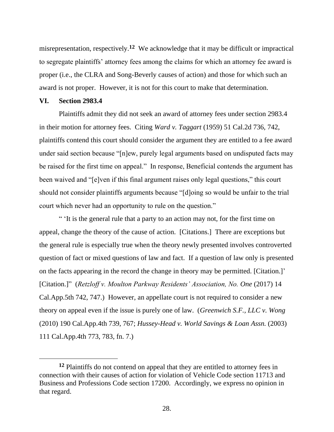misrepresentation, respectively.**<sup>12</sup>** We acknowledge that it may be difficult or impractical to segregate plaintiffs' attorney fees among the claims for which an attorney fee award is proper (i.e., the CLRA and Song-Beverly causes of action) and those for which such an award is not proper. However, it is not for this court to make that determination.

## **VI. Section 2983.4**

Plaintiffs admit they did not seek an award of attorney fees under section 2983.4 in their motion for attorney fees. Citing *Ward v. Taggart* (1959) 51 Cal.2d 736, 742, plaintiffs contend this court should consider the argument they are entitled to a fee award under said section because "[n]ew, purely legal arguments based on undisputed facts may be raised for the first time on appeal." In response, Beneficial contends the argument has been waived and "[e]ven if this final argument raises only legal questions," this court should not consider plaintiffs arguments because "[d]oing so would be unfair to the trial court which never had an opportunity to rule on the question."

" 'It is the general rule that a party to an action may not, for the first time on appeal, change the theory of the cause of action. [Citations.] There are exceptions but the general rule is especially true when the theory newly presented involves controverted question of fact or mixed questions of law and fact. If a question of law only is presented on the facts appearing in the record the change in theory may be permitted. [Citation.]' [Citation.]" (*Retzloff v. Moulton Parkway Residents' Association, No. One* (2017) 14 Cal.App.5th 742, 747.) However, an appellate court is not required to consider a new theory on appeal even if the issue is purely one of law. (*Greenwich S.F., LLC v. Wong* (2010) 190 Cal.App.4th 739, 767; *Hussey-Head v. World Savings & Loan Assn.* (2003) 111 Cal.App.4th 773, 783, fn. 7.)

**<sup>12</sup>** Plaintiffs do not contend on appeal that they are entitled to attorney fees in connection with their causes of action for violation of Vehicle Code section 11713 and Business and Professions Code section 17200. Accordingly, we express no opinion in that regard.